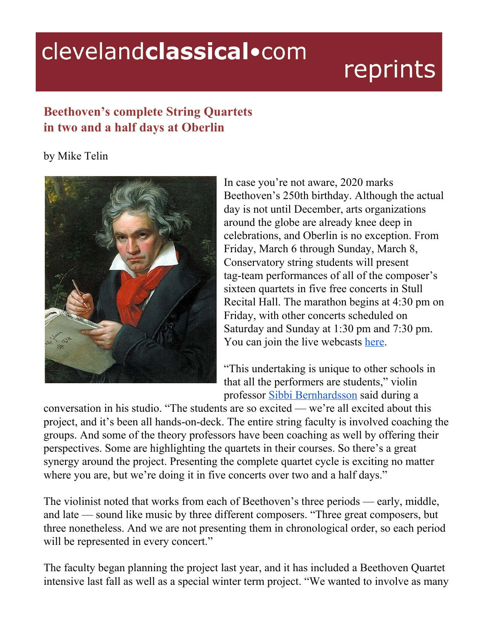## clevelandclassical.com

## reprints

## **Beethoven's complete String Quartets in two and a half days at Oberlin**

by Mike Telin



In case you're not aware, 2020 marks Beethoven's 250th birthday. Although the actual day is not until December, arts organizations around the globe are already knee deep in celebrations, and Oberlin is no exception. From Friday, March 6 through Sunday, March 8, Conservatory string students will present tag-team performances of all of the composer's sixteen quartets in five free concerts in Stull Recital Hall. The marathon begins at 4:30 pm on Friday, with other concerts scheduled on Saturday and Sunday at 1:30 pm and 7:30 pm. You can join the live webcasts [here](https://www.oberlin.edu/conservatory/on-stage/live-webcasts/kulas-recital-hall-live-webcast).

"This undertaking is unique to other schools in that all the performers are students," violin professor Sibbi [Bernhardsson](https://www.oberlin.edu/sibbi-bernhardsson) said during a

conversation in his studio. "The students are so excited — we're all excited about this project, and it's been all hands-on-deck. The entire string faculty is involved coaching the groups. And some of the theory professors have been coaching as well by offering their perspectives. Some are highlighting the quartets in their courses. So there's a great synergy around the project. Presenting the complete quartet cycle is exciting no matter where you are, but we're doing it in five concerts over two and a half days."

The violinist noted that works from each of Beethoven's three periods — early, middle, and late — sound like music by three different composers. "Three great composers, but three nonetheless. And we are not presenting them in chronological order, so each period will be represented in every concert."

The faculty began planning the project last year, and it has included a Beethoven Quartet intensive last fall as well as a special winter term project. "We wanted to involve as many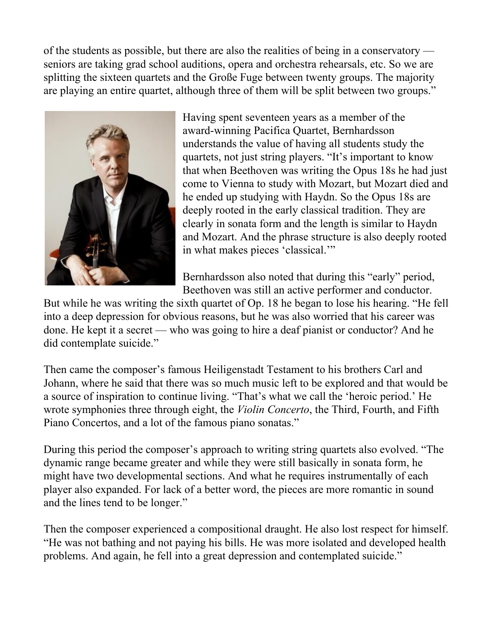of the students as possible, but there are also the realities of being in a conservatory seniors are taking grad school auditions, opera and orchestra rehearsals, etc. So we are splitting the sixteen quartets and the Große Fuge between twenty groups. The majority are playing an entire quartet, although three of them will be split between two groups."



Having spent seventeen years as a member of the award-winning Pacifica Quartet, Bernhardsson understands the value of having all students study the quartets, not just string players. "It's important to know that when Beethoven was writing the Opus 18s he had just come to Vienna to study with Mozart, but Mozart died and he ended up studying with Haydn. So the Opus 18s are deeply rooted in the early classical tradition. They are clearly in sonata form and the length is similar to Haydn and Mozart. And the phrase structure is also deeply rooted in what makes pieces 'classical.'"

Bernhardsson also noted that during this "early" period, Beethoven was still an active performer and conductor.

But while he was writing the sixth quartet of Op. 18 he began to lose his hearing. "He fell into a deep depression for obvious reasons, but he was also worried that his career was done. He kept it a secret — who was going to hire a deaf pianist or conductor? And he did contemplate suicide."

Then came the composer's famous Heiligenstadt Testament to his brothers Carl and Johann, where he said that there was so much music left to be explored and that would be a source of inspiration to continue living. "That's what we call the 'heroic period.' He wrote symphonies three through eight, the *Violin Concerto*, the Third, Fourth, and Fifth Piano Concertos, and a lot of the famous piano sonatas."

During this period the composer's approach to writing string quartets also evolved. "The dynamic range became greater and while they were still basically in sonata form, he might have two developmental sections. And what he requires instrumentally of each player also expanded. For lack of a better word, the pieces are more romantic in sound and the lines tend to be longer."

Then the composer experienced a compositional draught. He also lost respect for himself. "He was not bathing and not paying his bills. He was more isolated and developed health problems. And again, he fell into a great depression and contemplated suicide."